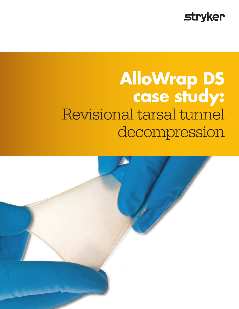

# **AlloWrap DS case study:** Revisional tarsal tunnel decompression

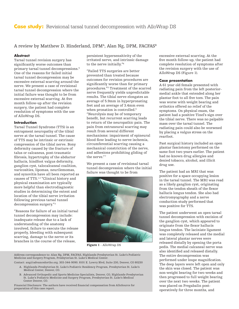### A review by Matthew D. Hinderland, DPM<sup>A</sup>, Alan Ng, DPM, FACFAS<sup>B</sup>

#### **Abstract**

Tarsal tunnel revision surgery has significantly worse outcomes than primary tarsal tunnel decompressions.<sup>5</sup> One of the reasons for failed initial tarsal tunnel decompression may be excessive external scarring around the nerve. We present a case of revisional tarsal tunnel decompression where the initial failure was thought to be from excessive external scarring. At five month follow-up after the revision surgery, the patient had complete resolution of symptoms with the use of AlloWrap DS.

#### **Introduction**

Tarsal Tunnel Syndrome (TTS) is an entrapment neuropathy of the tibial nerve at the tarsal tunnel. The cause of TTS may be intrinsic or extrinsic compression of the tibial nerve. Bony deformity caused by the fracture of talus or calcaneus, post-traumatic fibrosis, hypertrophy of the abductor hallucis, hindfoot valgus deformity, ganglion cyst, talocalcaneal coalition, varicosities, lipomas, neurilemomas, and synovitis have all been reported as causes of TTS.1,2 "Clinical history and physical examination are typically more helpful than electrodiagnostic studies in determining the extent and location of the tibial nerve irritation following previous tarsal tunnel decompression surgery."<sup>3</sup>

"Reasons for failure of an initial tarsal tunnel decompression may include: inadequate release due to a lack of understanding of the anatomy involved, failure to execute the release properly, bleeding with subsequent scarring, damage to the nerve or its branches in the course of the release,

persistent hypersensitivity of the irritated nerve, and intrinsic damage to the nerve initially."<sup>4</sup>

"Failed TTS surgeries are better prevented than treated because outcomes for revision procedures are significantly worse than for primary procedures."<sup>5</sup> Treatment of the scarred nerve frequently yields unpredictable results. The tibial nerve elongates an average of 5.9mm in hyperpronating feet and an average of 3.4mm even when pronation is controlled.<sup>6</sup> "Neurolysis may be of temporary benefit, but recurrent scarring leads to return of the neuropathic pain. The pain from extraneural scarring may result from several different mechanisms: impairment of epineural blood flow leading to nerve ischemia, circumferential scarring causing a mechanical constriction of the nerve, and adhesions prohibiting gliding of the nerve."<sup>7</sup>

We present a case of revisional tarsal tunnel decompression where the initial failure was thought to be from



Figure 1 - AlloWrap DS

Address correspondence to: Alan Ng, DPM, FACFAS, Highlands-Presbyterian St. Luke's Podiatric Medicine and Surgery Program, Presbyterian St. Luke's Medical Center.

- Contact: ang@advancedortho.org. 303-344-9090. 8101 E. Lowry Blvd, Suite 230, Denver, CO 80230 A. Highlands-Presbyterian St. Luke's Podiatric Residency Program, Presbyterian St. Luke's Medical Center, Denver, CO.
	- B. Advanced Orthopedic and Sports Medicine Specialists, Denver, CO, Highlands-Presbyterian St. Luke's Podiatric Medicine and Surgery Program, Presbyterian St. Luke's Medical Center Denver, CO.

Financial Disclosure: The authors have received financial compensation from AlloSource for preparation of this case report.

excessive external scarring. At the five month follow-up, the patient had complete resolution of symptoms after the revision surgery with the use of AlloWrap DS (Figure 1).

#### **Case presentation**

A 61 year old female presented with radiating pain from the left posteriormedial ankle that extended along her plantar foot to all five toes. The pain was worse with weight bearing and orthotics offered no relief of the symptoms. On physical exam, the patient had a positive Tinel's sign over the tibial nerve. There was no palpable mass over the tarsal tunnel. The radiating pain could also be worsened by placing a valgus stress on the rearfoot.

Past surgical history included an open plantar fasciotomy performed on the same foot two years earlier. The patient had no known drug allergies and denied tobacco, alcohol, and illicit drug use.

The patient had an MRI that was positive for a space occupying lesion in the tarsal tunnel. The MRI was read as a likely ganglion cyst, originating from the tendon sheath of the flexor hallucis longus tendon. She also had electromyography and a nerve conduction study performed that was positive for TTS.

The patient underwent an open tarsal tunnel decompression with excision of the ganglion cyst, which appeared to originate from the flexor hallucis longus tendon. The laciniate ligament was completely released and the medial and lateral plantar nerves were released distally by opening the porta pedis. The medial calcaneal nerve was also identified and released distally. The entire decompression was performed under loupe magnification. The deep layers were left open and only the skin was closed. The patient was non-weight bearing for two weeks and then progressed to full weight bearing over the next two weeks. The patient was placed on Pregabalin postoperatively for three months, and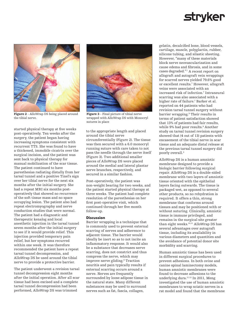## **stryker**



Figure 2 - AlloWrap DS being placed around the tibial nerve.

started physical therapy at five weeks post-operatively. Ten weeks after the surgery, the patient began having increasing symptoms consistent with recurrent TTS. She was found to have a thickened, immobile cicatrix over the surgical incision, and the patient was sent back to physical therapy for manual mobilization of the scar tissue. The patient continued to have paresthesias radiating distally from her tarsal tunnel and a positive Tinel's sign over her tibial nerve for the next six months after the initial surgery. She had a repeat MRI six months postoperatively that showed no recurrence of the soft tissue mass and no space occupying lesion. The patient also had repeat electromyography and nerve conduction studies that were normal. The patient had a diagnostic and therapeutic kenalog and local anesthetic injection in the tarsal tunnel seven months after the initial surgery to see if it would provide relief. This injection provided temporary pain relief, but her symptoms recurred within one week. It was therefore recommended the patient have a repeat tarsal tunnel decompression, and AlloWrap DS be used around the tibial nerve to provide a protective barrier.

The patient underwent a revision tarsal tunnel decompression eight months after the initial operation. After all scar tissue had been excised and a complete tarsal tunnel decompression had been performed, AlloWrap DS was trimmed



Figure 3 - Final picture of tibial nerve wrapped with AlloWrap DS with Monocryl sutures in place

to the appropriate length and placed around the tibial nerve circumferentially (Figure 2). The tissue was then secured with a 6.0 monocryl running suture with care taken to not pass the needle through the nerve itself (Figure 3). Two additional smaller pieces of AlloWrap DS were placed around the medial and lateral plantar nerve branches, respectively, and secured in a similar fashion.

Post-operatively, the patient was non-weight bearing for two weeks, and the patient started physical therapy at three weeks. The patient had complete resolution of the paresthesias on her first post-operative visit, which continued through her five month follow-up.

#### **Discussion**

Barrier wrapping is a technique that is commonly used to prevent external scarring of nerves and adherence to adjacent tissue. The barrier would ideally be inert so as to not incite an inflammatory response. It would also be a substance that decreases nerve scarring, does not constrict and thus compress the nerve, which may improve nerve gliding.8 Traction neuritis and pain typically results if external scarring occurs around a nerve. Nerves are frequently surrounded by loose adipose tissue in the natural state. Many different substances may be used to surround nerves such as fat, fascia, collagen,

gelatin, decalcified bone, blood vessels, cartilage, muscle, polyglactin, rubber, silicone tubing, and silastic sheeting. However, "many of these materials block nerve neovascularization and cause edema and fibrosis, and in some cases degraded." 7 A recent report on allograft and autograft vein wrappings for scarred nerves yielded 79.6% good or excellent results.<sup>7</sup> However, allograft veins were associated with an increased risk of infection.<sup>7</sup> Intraneural scarring was also associated with a higher rate of failure.<sup>7</sup> Barker et al. reported on 44 patients who had revision tarsal tunnel surgery without barrier wrapping.9 Their results in terms of patient satisfaction showed that 13% of patients had fair results, while 9% had poor results.9 Another study on tarsal tunnel revision surgery showed that (4 out of 13) patients with encasement of the tibial nerve in scar tissue and an adequate distal release at the previous tarsal tunnel surgery did poorly overall.<sup>3</sup>

AlloWrap DS is a human amniotic membrane designed to provide a biologic barrier following surgical repair. AlloWrap DS is a double-sided membrane with two layers of amniotic tissue oriented with the epithelial layers facing outwards. The tissue is packaged wet, as opposed to several other products, so no rehydration is required. It offers a thin, strong membrane that conforms around tissues and may be positioned with or without suturing. Clinically, amniotic tissue is immune privileged, and remains in the surgical site greater than eight weeks.10,11 AlloWrap DS has several advantages over autograft tissue, including its availability in various diameters and quantities and the avoidance of potential donor site morbidity and scarring.

Human amniotic tissue has been used in different surgical procedures to prevent adhesions. In both ovine and canine spinal laminectomy models, human amniotic membranes were found to decrease adhesions to the underlying dura.11,12 In 2011, Meng investigated the use of human amniotic membranes to wrap sciatic nerves in a rat model and found that the membrane